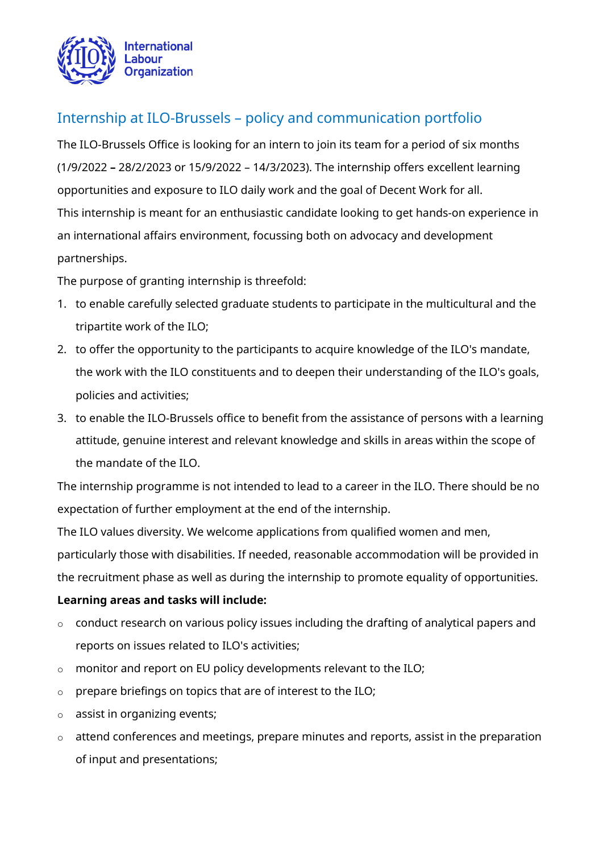

# Internship at ILO-Brussels – policy and communication portfolio

The ILO-Brussels Office is looking for an intern to join its team for a period of six months (1/9/2022 **–** 28/2/2023 or 15/9/2022 – 14/3/2023). The internship offers excellent learning opportunities and exposure to ILO daily work and the goal of Decent Work for all. This internship is meant for an enthusiastic candidate looking to get hands-on experience in an international affairs environment, focussing both on advocacy and development partnerships.

The purpose of granting internship is threefold:

- 1. to enable carefully selected graduate students to participate in the multicultural and the tripartite work of the ILO;
- 2. to offer the opportunity to the participants to acquire knowledge of the ILO's mandate, the work with the ILO constituents and to deepen their understanding of the ILO's goals, policies and activities;
- 3. to enable the ILO-Brussels office to benefit from the assistance of persons with a learning attitude, genuine interest and relevant knowledge and skills in areas within the scope of the mandate of the ILO.

The internship programme is not intended to lead to a career in the ILO. There should be no expectation of further employment at the end of the internship.

The ILO values diversity. We welcome applications from qualified women and men, particularly those with disabilities. If needed, reasonable accommodation will be provided in the recruitment phase as well as during the internship to promote equality of opportunities.

### **Learning areas and tasks will include:**

- o conduct research on various policy issues including the drafting of analytical papers and reports on issues related to ILO's activities;
- o monitor and report on EU policy developments relevant to the ILO;
- $\circ$  prepare briefings on topics that are of interest to the ILO;
- o assist in organizing events;
- o attend conferences and meetings, prepare minutes and reports, assist in the preparation of input and presentations;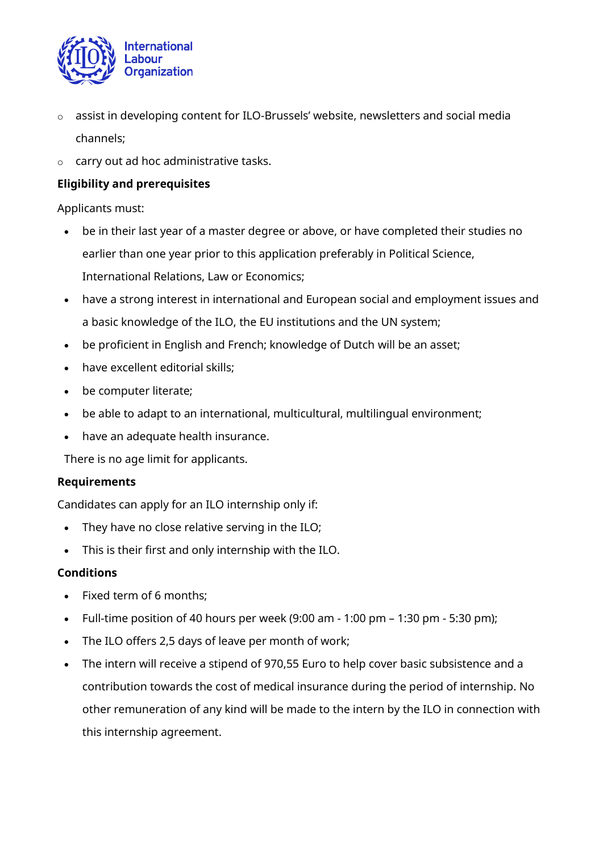

- o assist in developing content for [ILO-Brussels](http://ilo.org/brussels)' website, newsletters and social media channels;
- o carry out ad hoc administrative tasks.

## **Eligibility and prerequisites**

Applicants must:

- be in their last year of a master degree or above, or have completed their studies no earlier than one year prior to this application preferably in Political Science, International Relations, Law or Economics;
- have a strong interest in international and European social and employment issues and a basic knowledge of the ILO, the EU institutions and the UN system;
- be proficient in English and French; knowledge of Dutch will be an asset;
- have excellent editorial skills;
- be computer literate;
- be able to adapt to an international, multicultural, multilingual environment;
- have an adequate health insurance.

There is no age limit for applicants.

### **Requirements**

Candidates can apply for an ILO internship only if:

- They have no close relative serving in the ILO;
- This is their first and only internship with the ILO.

#### **Conditions**

- Fixed term of 6 months;
- Full-time position of 40 hours per week  $(9:00 \text{ am} 1:00 \text{ pm} 1:30 \text{ pm} 5:30 \text{ pm})$ ;
- The ILO offers 2,5 days of leave per month of work;
- The intern will receive a stipend of 970,55 Euro to help cover basic subsistence and a contribution towards the cost of medical insurance during the period of internship. No other remuneration of any kind will be made to the intern by the ILO in connection with this internship agreement.